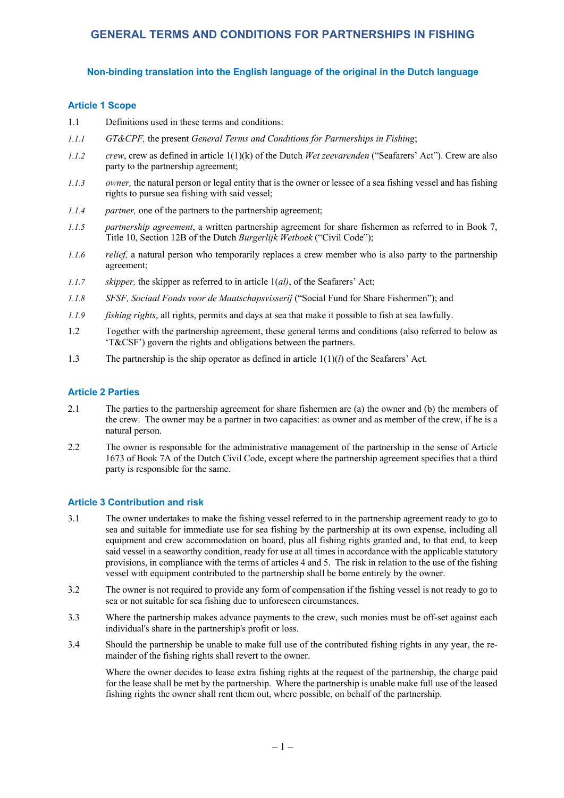## **Non-binding translation into the English language of the original in the Dutch language**

#### **Article 1 Scope**

- 1.1 Definitions used in these terms and conditions:
- *1.1.1 GT&CPF,* the present *General Terms and Conditions for Partnerships in Fishing*;
- *1.1.2 crew*, crew as defined in article 1(1)(k) of the Dutch *Wet zeevarenden* ("Seafarers' Act"). Crew are also party to the partnership agreement;
- *1.1.3 owner,* the natural person or legal entity that is the owner or lessee of a sea fishing vessel and has fishing rights to pursue sea fishing with said vessel;
- *1.1.4 partner,* one of the partners to the partnership agreement;
- *1.1.5 partnership agreement*, a written partnership agreement for share fishermen as referred to in Book 7, Title 10, Section 12B of the Dutch *Burgerlijk Wetboek* ("Civil Code");
- *1.1.6 relief,* a natural person who temporarily replaces a crew member who is also party to the partnership agreement;
- *1.1.7 skipper,* the skipper as referred to in article 1(*al)*, of the Seafarers' Act;
- *1.1.8 SFSF, Sociaal Fonds voor de Maatschapsvisserij* ("Social Fund for Share Fishermen"); and
- *1.1.9 fishing rights*, all rights, permits and days at sea that make it possible to fish at sea lawfully.
- 1.2 Together with the partnership agreement, these general terms and conditions (also referred to below as 'T&CSF') govern the rights and obligations between the partners.
- 1.3 The partnership is the ship operator as defined in article  $1(1)(l)$  of the Seafarers' Act.

## **Article 2 Parties**

- 2.1 The parties to the partnership agreement for share fishermen are (a) the owner and (b) the members of the crew. The owner may be a partner in two capacities: as owner and as member of the crew, if he is a natural person.
- 2.2 The owner is responsible for the administrative management of the partnership in the sense of Article 1673 of Book 7A of the Dutch Civil Code, except where the partnership agreement specifies that a third party is responsible for the same.

#### **Article 3 Contribution and risk**

- 3.1 The owner undertakes to make the fishing vessel referred to in the partnership agreement ready to go to sea and suitable for immediate use for sea fishing by the partnership at its own expense, including all equipment and crew accommodation on board, plus all fishing rights granted and, to that end, to keep said vessel in a seaworthy condition, ready for use at all times in accordance with the applicable statutory provisions, in compliance with the terms of articles 4 and 5. The risk in relation to the use of the fishing vessel with equipment contributed to the partnership shall be borne entirely by the owner.
- 3.2 The owner is not required to provide any form of compensation if the fishing vessel is not ready to go to sea or not suitable for sea fishing due to unforeseen circumstances.
- 3.3 Where the partnership makes advance payments to the crew, such monies must be off-set against each individual's share in the partnership's profit or loss.
- 3.4 Should the partnership be unable to make full use of the contributed fishing rights in any year, the remainder of the fishing rights shall revert to the owner.

Where the owner decides to lease extra fishing rights at the request of the partnership, the charge paid for the lease shall be met by the partnership. Where the partnership is unable make full use of the leased fishing rights the owner shall rent them out, where possible, on behalf of the partnership.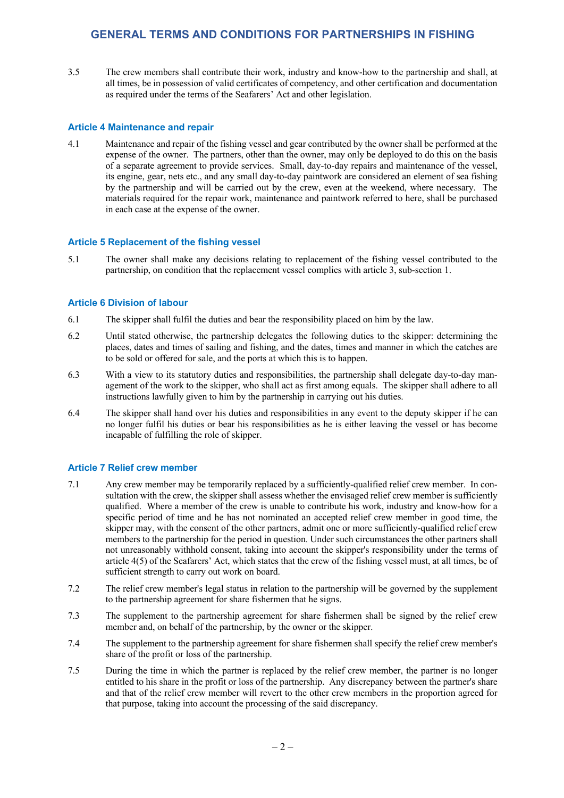3.5 The crew members shall contribute their work, industry and know-how to the partnership and shall, at all times, be in possession of valid certificates of competency, and other certification and documentation as required under the terms of the Seafarers' Act and other legislation.

## **Article 4 Maintenance and repair**

4.1 Maintenance and repair of the fishing vessel and gear contributed by the owner shall be performed at the expense of the owner. The partners, other than the owner, may only be deployed to do this on the basis of a separate agreement to provide services. Small, day-to-day repairs and maintenance of the vessel, its engine, gear, nets etc., and any small day-to-day paintwork are considered an element of sea fishing by the partnership and will be carried out by the crew, even at the weekend, where necessary. The materials required for the repair work, maintenance and paintwork referred to here, shall be purchased in each case at the expense of the owner.

#### **Article 5 Replacement of the fishing vessel**

5.1 The owner shall make any decisions relating to replacement of the fishing vessel contributed to the partnership, on condition that the replacement vessel complies with article 3, sub-section 1.

### **Article 6 Division of labour**

- 6.1 The skipper shall fulfil the duties and bear the responsibility placed on him by the law.
- 6.2 Until stated otherwise, the partnership delegates the following duties to the skipper: determining the places, dates and times of sailing and fishing, and the dates, times and manner in which the catches are to be sold or offered for sale, and the ports at which this is to happen.
- 6.3 With a view to its statutory duties and responsibilities, the partnership shall delegate day-to-day management of the work to the skipper, who shall act as first among equals. The skipper shall adhere to all instructions lawfully given to him by the partnership in carrying out his duties.
- 6.4 The skipper shall hand over his duties and responsibilities in any event to the deputy skipper if he can no longer fulfil his duties or bear his responsibilities as he is either leaving the vessel or has become incapable of fulfilling the role of skipper.

#### **Article 7 Relief crew member**

- 7.1 Any crew member may be temporarily replaced by a sufficiently-qualified relief crew member. In consultation with the crew, the skipper shall assess whether the envisaged relief crew member is sufficiently qualified. Where a member of the crew is unable to contribute his work, industry and know-how for a specific period of time and he has not nominated an accepted relief crew member in good time, the skipper may, with the consent of the other partners, admit one or more sufficiently-qualified relief crew members to the partnership for the period in question. Under such circumstances the other partners shall not unreasonably withhold consent, taking into account the skipper's responsibility under the terms of article 4(5) of the Seafarers' Act, which states that the crew of the fishing vessel must, at all times, be of sufficient strength to carry out work on board.
- 7.2 The relief crew member's legal status in relation to the partnership will be governed by the supplement to the partnership agreement for share fishermen that he signs.
- 7.3 The supplement to the partnership agreement for share fishermen shall be signed by the relief crew member and, on behalf of the partnership, by the owner or the skipper.
- 7.4 The supplement to the partnership agreement for share fishermen shall specify the relief crew member's share of the profit or loss of the partnership.
- 7.5 During the time in which the partner is replaced by the relief crew member, the partner is no longer entitled to his share in the profit or loss of the partnership. Any discrepancy between the partner's share and that of the relief crew member will revert to the other crew members in the proportion agreed for that purpose, taking into account the processing of the said discrepancy.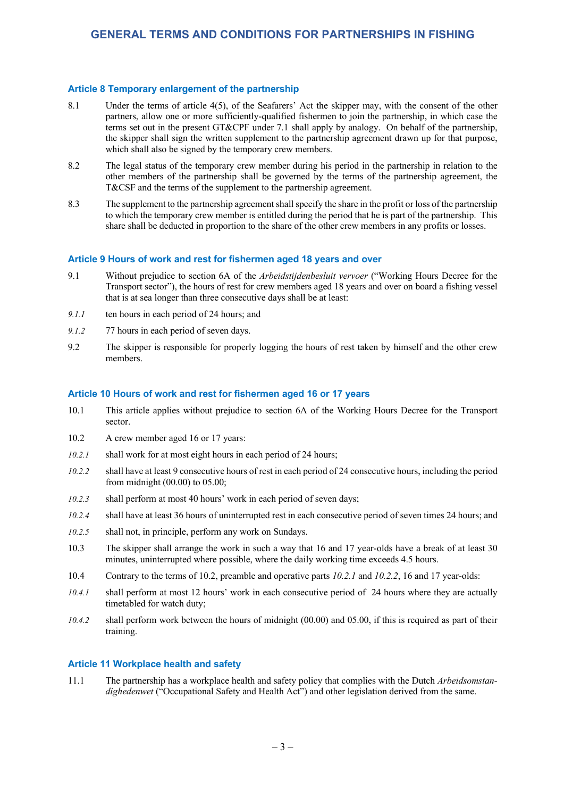### **Article 8 Temporary enlargement of the partnership**

- 8.1 Under the terms of article 4(5), of the Seafarers' Act the skipper may, with the consent of the other partners, allow one or more sufficiently-qualified fishermen to join the partnership, in which case the terms set out in the present GT&CPF under 7.1 shall apply by analogy. On behalf of the partnership, the skipper shall sign the written supplement to the partnership agreement drawn up for that purpose, which shall also be signed by the temporary crew members.
- 8.2 The legal status of the temporary crew member during his period in the partnership in relation to the other members of the partnership shall be governed by the terms of the partnership agreement, the T&CSF and the terms of the supplement to the partnership agreement.
- 8.3 The supplement to the partnership agreement shall specify the share in the profit or loss of the partnership to which the temporary crew member is entitled during the period that he is part of the partnership. This share shall be deducted in proportion to the share of the other crew members in any profits or losses.

### **Article 9 Hours of work and rest for fishermen aged 18 years and over**

- 9.1 Without prejudice to section 6A of the *Arbeidstijdenbesluit vervoer* ("Working Hours Decree for the Transport sector"), the hours of rest for crew members aged 18 years and over on board a fishing vessel that is at sea longer than three consecutive days shall be at least:
- *9.1.1* ten hours in each period of 24 hours; and
- *9.1.2* 77 hours in each period of seven days.
- 9.2 The skipper is responsible for properly logging the hours of rest taken by himself and the other crew members.

#### **Article 10 Hours of work and rest for fishermen aged 16 or 17 years**

- 10.1 This article applies without prejudice to section 6A of the Working Hours Decree for the Transport sector.
- 10.2 A crew member aged 16 or 17 years:
- *10.2.1* shall work for at most eight hours in each period of 24 hours;
- *10.2.2* shall have at least 9 consecutive hours of rest in each period of 24 consecutive hours, including the period from midnight (00.00) to 05.00;
- *10.2.3* shall perform at most 40 hours' work in each period of seven days;
- *10.2.4* shall have at least 36 hours of uninterrupted rest in each consecutive period of seven times 24 hours; and
- *10.2.5* shall not, in principle, perform any work on Sundays.
- 10.3 The skipper shall arrange the work in such a way that 16 and 17 year-olds have a break of at least 30 minutes, uninterrupted where possible, where the daily working time exceeds 4.5 hours.
- 10.4 Contrary to the terms of 10.2, preamble and operative parts *10.2.1* and *10.2.2*, 16 and 17 year-olds:
- *10.4.1* shall perform at most 12 hours' work in each consecutive period of 24 hours where they are actually timetabled for watch duty;
- *10.4.2* shall perform work between the hours of midnight (00.00) and 05.00, if this is required as part of their training.

#### **Article 11 Workplace health and safety**

11.1 The partnership has a workplace health and safety policy that complies with the Dutch *Arbeidsomstandighedenwet* ("Occupational Safety and Health Act") and other legislation derived from the same.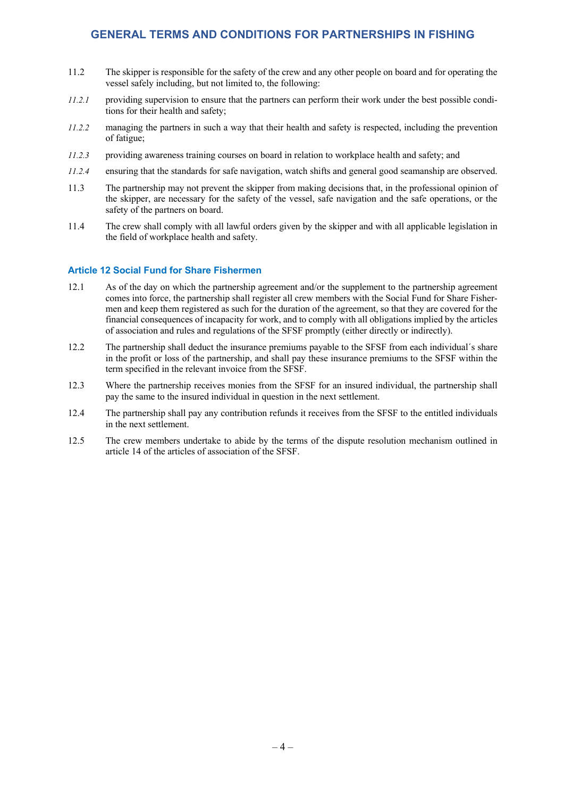- 11.2 The skipper is responsible for the safety of the crew and any other people on board and for operating the vessel safely including, but not limited to, the following:
- *11.2.1* providing supervision to ensure that the partners can perform their work under the best possible conditions for their health and safety;
- *11.2.2* managing the partners in such a way that their health and safety is respected, including the prevention of fatigue;
- *11.2.3* providing awareness training courses on board in relation to workplace health and safety; and
- *11.2.4* ensuring that the standards for safe navigation, watch shifts and general good seamanship are observed.
- 11.3 The partnership may not prevent the skipper from making decisions that, in the professional opinion of the skipper, are necessary for the safety of the vessel, safe navigation and the safe operations, or the safety of the partners on board.
- 11.4 The crew shall comply with all lawful orders given by the skipper and with all applicable legislation in the field of workplace health and safety.

#### **Article 12 Social Fund for Share Fishermen**

- 12.1 As of the day on which the partnership agreement and/or the supplement to the partnership agreement comes into force, the partnership shall register all crew members with the Social Fund for Share Fishermen and keep them registered as such for the duration of the agreement, so that they are covered for the financial consequences of incapacity for work, and to comply with all obligations implied by the articles of association and rules and regulations of the SFSF promptly (either directly or indirectly).
- 12.2 The partnership shall deduct the insurance premiums payable to the SFSF from each individual´s share in the profit or loss of the partnership, and shall pay these insurance premiums to the SFSF within the term specified in the relevant invoice from the SFSF.
- 12.3 Where the partnership receives monies from the SFSF for an insured individual, the partnership shall pay the same to the insured individual in question in the next settlement.
- 12.4 The partnership shall pay any contribution refunds it receives from the SFSF to the entitled individuals in the next settlement.
- 12.5 The crew members undertake to abide by the terms of the dispute resolution mechanism outlined in article 14 of the articles of association of the SFSF.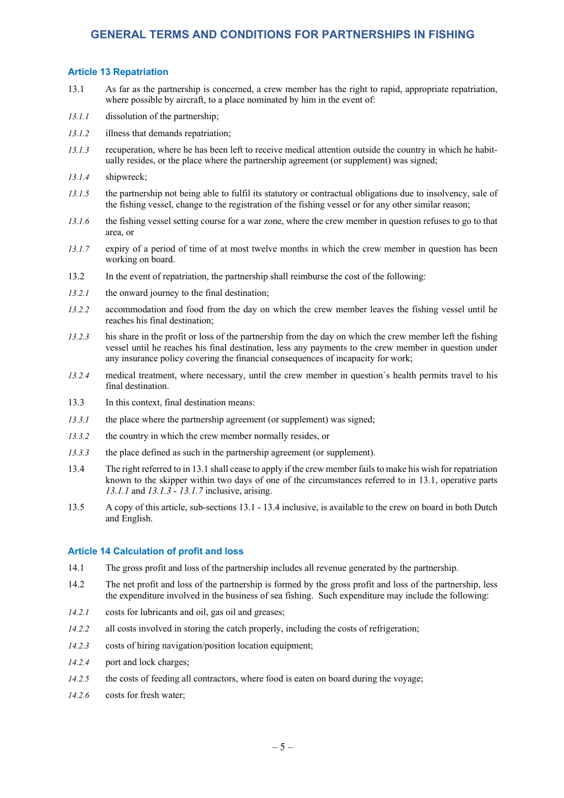#### **Article 13 Repatriation**

- 13.1 As far as the partnership is concerned, a crew member has the right to rapid, appropriate repatriation, where possible by aircraft, to a place nominated by him in the event of:
- *13.1.1* dissolution of the partnership;
- *13.1.2* illness that demands repatriation;
- *13.1.3* recuperation, where he has been left to receive medical attention outside the country in which he habitually resides, or the place where the partnership agreement (or supplement) was signed;
- *13.1.4* shipwreck;
- *13.1.5* the partnership not being able to fulfil its statutory or contractual obligations due to insolvency, sale of the fishing vessel, change to the registration of the fishing vessel or for any other similar reason;
- *13.1.6* the fishing vessel setting course for a war zone, where the crew member in question refuses to go to that area, or
- 13.1.7 expiry of a period of time of at most twelve months in which the crew member in question has been working on board.
- 13.2 In the event of repatriation, the partnership shall reimburse the cost of the following:
- *13.2.1* the onward journey to the final destination;
- *13.2.2* accommodation and food from the day on which the crew member leaves the fishing vessel until he reaches his final destination;
- *13.2.3* his share in the profit or loss of the partnership from the day on which the crew member left the fishing vessel until he reaches his final destination, less any payments to the crew member in question under any insurance policy covering the financial consequences of incapacity for work;
- *13.2.4* medical treatment, where necessary, until the crew member in question´s health permits travel to his final destination.
- 13.3 In this context, final destination means:
- *13.3.1* the place where the partnership agreement (or supplement) was signed;
- *13.3.2* the country in which the crew member normally resides, or
- *13.3.3* the place defined as such in the partnership agreement (or supplement).
- 13.4 The right referred to in 13.1 shall cease to apply if the crew member fails to make his wish for repatriation known to the skipper within two days of one of the circumstances referred to in 13.1, operative parts *13.1.1* and *13.1.3* - *13.1.7* inclusive, arising.
- 13.5 A copy of this article, sub-sections 13.1 13.4 inclusive, is available to the crew on board in both Dutch and English.

#### **Article 14 Calculation of profit and loss**

- 14.1 The gross profit and loss of the partnership includes all revenue generated by the partnership.
- 14.2 The net profit and loss of the partnership is formed by the gross profit and loss of the partnership, less the expenditure involved in the business of sea fishing. Such expenditure may include the following:
- *14.2.1* costs for lubricants and oil, gas oil and greases;
- *14.2.2* all costs involved in storing the catch properly, including the costs of refrigeration;
- *14.2.3* costs of hiring navigation/position location equipment;
- *14.2.4* port and lock charges;
- *14.2.5* the costs of feeding all contractors, where food is eaten on board during the voyage;
- *14.2.6* costs for fresh water;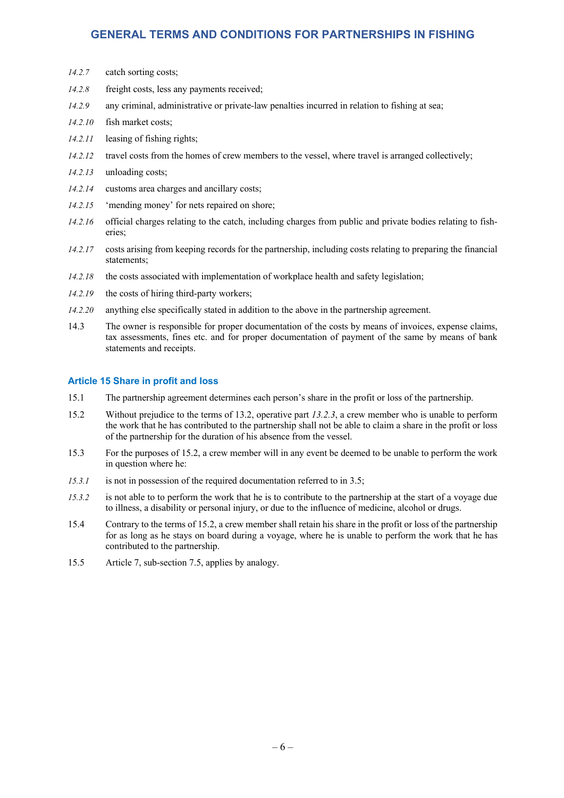- *14.2.7* catch sorting costs;
- *14.2.8* freight costs, less any payments received;
- *14.2.9* any criminal, administrative or private-law penalties incurred in relation to fishing at sea;
- *14.2.10* fish market costs;
- *14.2.11* leasing of fishing rights;
- *14.2.12* travel costs from the homes of crew members to the vessel, where travel is arranged collectively;
- *14.2.13* unloading costs;
- *14.2.14* customs area charges and ancillary costs;
- *14.2.15* 'mending money' for nets repaired on shore;
- *14.2.16* official charges relating to the catch, including charges from public and private bodies relating to fisheries;
- *14.2.17* costs arising from keeping records for the partnership, including costs relating to preparing the financial statements;
- *14.2.18* the costs associated with implementation of workplace health and safety legislation;
- *14.2.19* the costs of hiring third-party workers;
- *14.2.20* anything else specifically stated in addition to the above in the partnership agreement.
- 14.3 The owner is responsible for proper documentation of the costs by means of invoices, expense claims, tax assessments, fines etc. and for proper documentation of payment of the same by means of bank statements and receipts.

#### **Article 15 Share in profit and loss**

- 15.1 The partnership agreement determines each person's share in the profit or loss of the partnership.
- 15.2 Without prejudice to the terms of 13.2, operative part *13.2.3*, a crew member who is unable to perform the work that he has contributed to the partnership shall not be able to claim a share in the profit or loss of the partnership for the duration of his absence from the vessel.
- 15.3 For the purposes of 15.2, a crew member will in any event be deemed to be unable to perform the work in question where he:
- *15.3.1* is not in possession of the required documentation referred to in 3.5;
- *15.3.2* is not able to to perform the work that he is to contribute to the partnership at the start of a voyage due to illness, a disability or personal injury, or due to the influence of medicine, alcohol or drugs.
- 15.4 Contrary to the terms of 15.2, a crew member shall retain his share in the profit or loss of the partnership for as long as he stays on board during a voyage, where he is unable to perform the work that he has contributed to the partnership.
- 15.5 Article 7, sub-section 7.5, applies by analogy.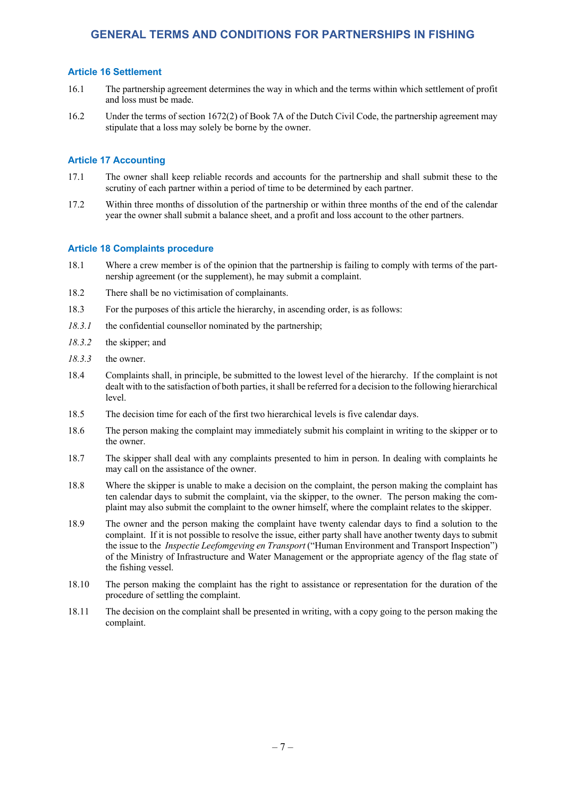## **Article 16 Settlement**

- 16.1 The partnership agreement determines the way in which and the terms within which settlement of profit and loss must be made.
- 16.2 Under the terms of section 1672(2) of Book 7A of the Dutch Civil Code, the partnership agreement may stipulate that a loss may solely be borne by the owner.

## **Article 17 Accounting**

- 17.1 The owner shall keep reliable records and accounts for the partnership and shall submit these to the scrutiny of each partner within a period of time to be determined by each partner.
- 17.2 Within three months of dissolution of the partnership or within three months of the end of the calendar year the owner shall submit a balance sheet, and a profit and loss account to the other partners.

### **Article 18 Complaints procedure**

- 18.1 Where a crew member is of the opinion that the partnership is failing to comply with terms of the partnership agreement (or the supplement), he may submit a complaint.
- 18.2 There shall be no victimisation of complainants.
- 18.3 For the purposes of this article the hierarchy, in ascending order, is as follows:
- 18.3.1 the confidential counsellor nominated by the partnership;
- *18.3.2* the skipper; and
- *18.3.3* the owner.
- 18.4 Complaints shall, in principle, be submitted to the lowest level of the hierarchy. If the complaint is not dealt with to the satisfaction of both parties, it shall be referred for a decision to the following hierarchical level.
- 18.5 The decision time for each of the first two hierarchical levels is five calendar days.
- 18.6 The person making the complaint may immediately submit his complaint in writing to the skipper or to the owner.
- 18.7 The skipper shall deal with any complaints presented to him in person. In dealing with complaints he may call on the assistance of the owner.
- 18.8 Where the skipper is unable to make a decision on the complaint, the person making the complaint has ten calendar days to submit the complaint, via the skipper, to the owner. The person making the complaint may also submit the complaint to the owner himself, where the complaint relates to the skipper.
- 18.9 The owner and the person making the complaint have twenty calendar days to find a solution to the complaint. If it is not possible to resolve the issue, either party shall have another twenty days to submit the issue to the *Inspectie Leefomgeving en Transport* ("Human Environment and Transport Inspection") of the Ministry of Infrastructure and Water Management or the appropriate agency of the flag state of the fishing vessel.
- 18.10 The person making the complaint has the right to assistance or representation for the duration of the procedure of settling the complaint.
- 18.11 The decision on the complaint shall be presented in writing, with a copy going to the person making the complaint.